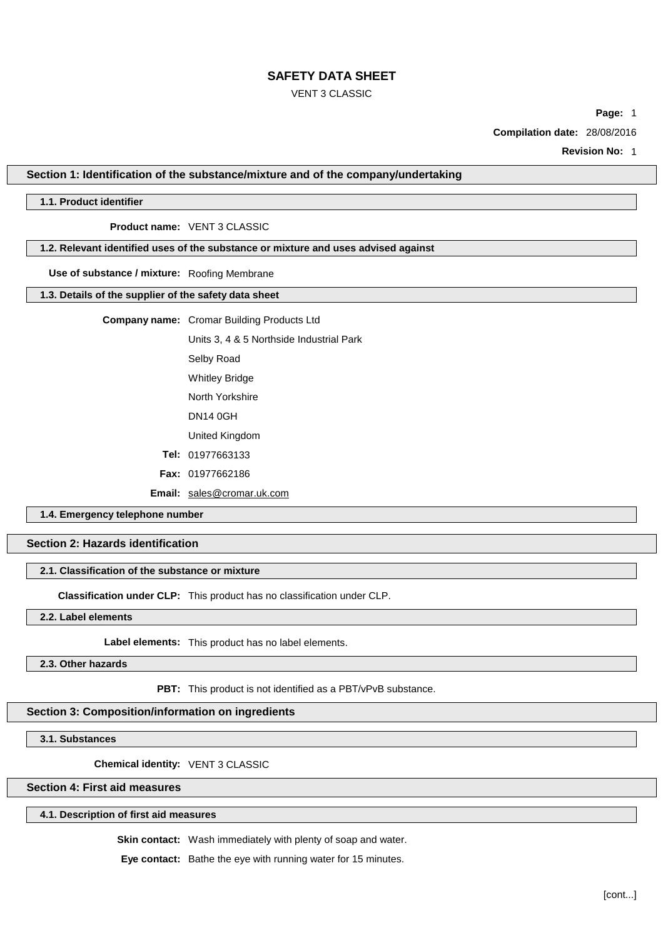#### VENT 3 CLASSIC

**Page:** 1

**Compilation date:** 28/08/2016

**Revision No:** 1

**Section 1: Identification of the substance/mixture and of the company/undertaking**

### **1.1. Product identifier**

### **Product name:** VENT 3 CLASSIC

## **1.2. Relevant identified uses of the substance or mixture and uses advised against**

#### **Use of substance / mixture:** Roofing Membrane

### **1.3. Details of the supplier of the safety data sheet**

## **Company name:** Cromar Building Products Ltd

Units 3, 4 & 5 Northside Industrial Park

Selby Road

Whitley Bridge

North Yorkshire

DN14 0GH

United Kingdom

- **Tel:** 01977663133
- **Fax:** 01977662186

**Email:** [sales@cromar.uk.com](mailto:sales@cromar.uk.com)

**1.4. Emergency telephone number**

## **Section 2: Hazards identification**

## **2.1. Classification of the substance or mixture**

**Classification under CLP:** This product has no classification under CLP.

**2.2. Label elements**

**Label elements:** This product has no label elements.

**2.3. Other hazards**

**PBT:** This product is not identified as a PBT/vPvB substance.

## **Section 3: Composition/information on ingredients**

**3.1. Substances**

**Chemical identity:** VENT 3 CLASSIC

## **Section 4: First aid measures**

#### **4.1. Description of first aid measures**

**Skin contact:** Wash immediately with plenty of soap and water.

**Eye contact:** Bathe the eye with running water for 15 minutes.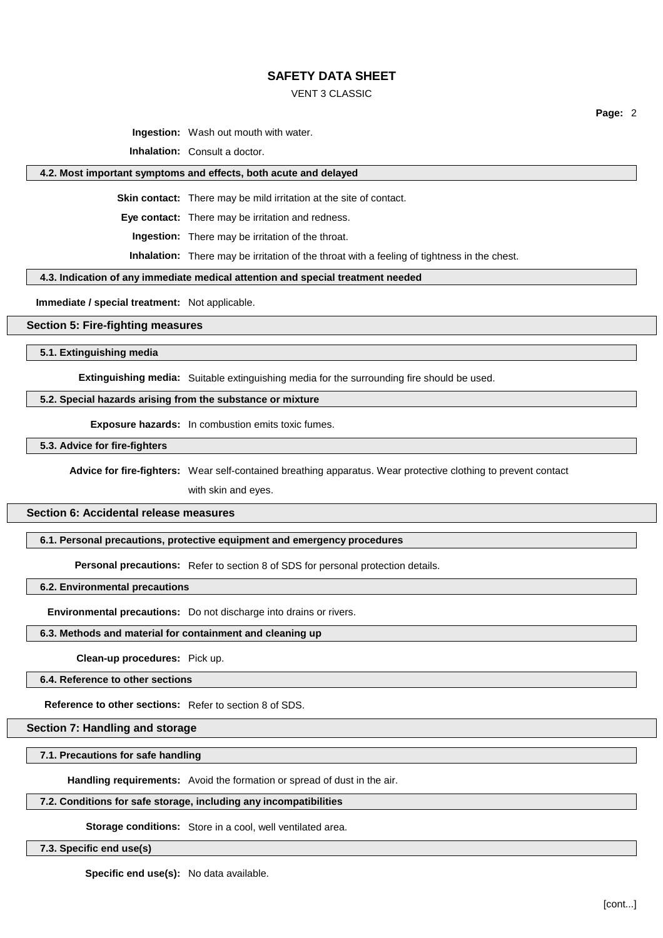#### VENT 3 CLASSIC

**Ingestion:** Wash out mouth with water.

**Inhalation:** Consult a doctor.

#### **4.2. Most important symptoms and effects, both acute and delayed**

**Skin contact:** There may be mild irritation at the site of contact.

**Eye contact:** There may be irritation and redness.

**Ingestion:** There may be irritation of the throat.

**Inhalation:** There may be irritation of the throat with a feeling of tightness in the chest.

#### **4.3. Indication of any immediate medical attention and special treatment needed**

**Immediate / special treatment:** Not applicable.

#### **Section 5: Fire-fighting measures**

#### **5.1. Extinguishing media**

**Extinguishing media:** Suitable extinguishing media for the surrounding fire should be used.

#### **5.2. Special hazards arising from the substance or mixture**

**Exposure hazards:** In combustion emits toxic fumes.

**5.3. Advice for fire-fighters**

**Advice for fire-fighters:** Wear self-contained breathing apparatus. Wear protective clothing to prevent contact

with skin and eyes.

### **Section 6: Accidental release measures**

### **6.1. Personal precautions, protective equipment and emergency procedures**

**Personal precautions:** Refer to section 8 of SDS for personal protection details.

## **6.2. Environmental precautions**

**Environmental precautions:** Do not discharge into drains or rivers.

## **6.3. Methods and material for containment and cleaning up**

**Clean-up procedures:** Pick up.

## **6.4. Reference to other sections**

# **Reference to other sections:** Refer to section 8 of SDS.

## **Section 7: Handling and storage**

## **7.1. Precautions for safe handling**

**Handling requirements:** Avoid the formation or spread of dust in the air.

## **7.2. Conditions for safe storage, including any incompatibilities**

**Storage conditions:** Store in a cool, well ventilated area.

## **7.3. Specific end use(s)**

**Specific end use(s):** No data available.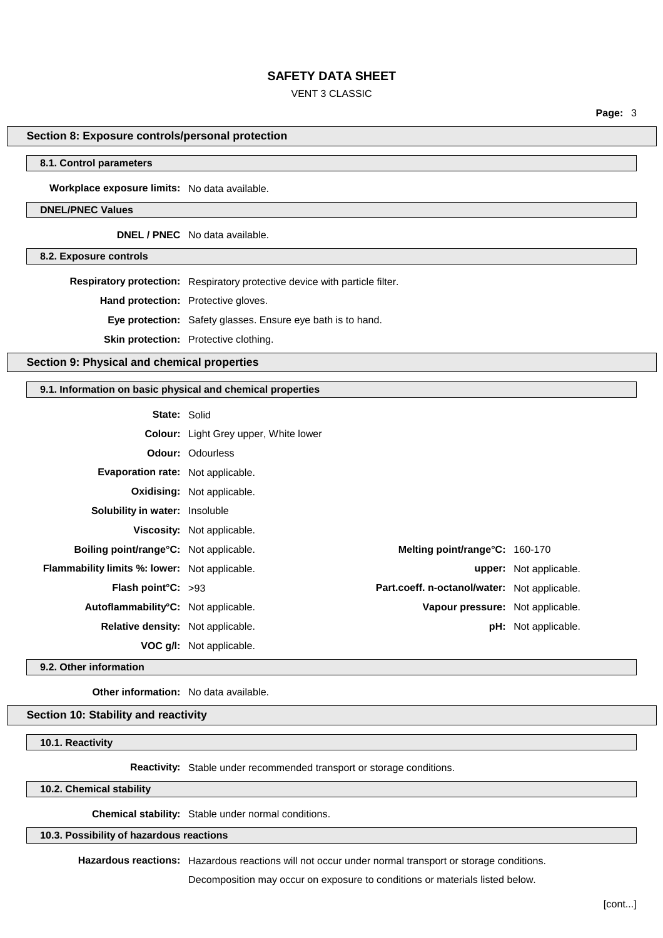### VENT 3 CLASSIC

**Page:** 3

### **Section 8: Exposure controls/personal protection**

### **8.1. Control parameters**

**Workplace exposure limits:** No data available.

#### **DNEL/PNEC Values**

**DNEL / PNEC** No data available.

**8.2. Exposure controls**

**Respiratory protection:** Respiratory protective device with particle filter.

**Hand protection:** Protective gloves.

**Eye protection:** Safety glasses. Ensure eye bath is to hand.

**Skin protection:** Protective clothing.

## **Section 9: Physical and chemical properties**

#### **9.1. Information on basic physical and chemical properties**

| <b>State: Solid</b>                                  |                                              |                                              |                               |
|------------------------------------------------------|----------------------------------------------|----------------------------------------------|-------------------------------|
|                                                      | <b>Colour:</b> Light Grey upper, White lower |                                              |                               |
|                                                      | <b>Odour: Odourless</b>                      |                                              |                               |
| Evaporation rate: Not applicable.                    |                                              |                                              |                               |
|                                                      | <b>Oxidising: Not applicable.</b>            |                                              |                               |
| <b>Solubility in water:</b> Insoluble                |                                              |                                              |                               |
|                                                      | Viscosity: Not applicable.                   |                                              |                               |
| <b>Boiling point/range °C:</b> Not applicable.       |                                              | Melting point/range°C: 160-170               |                               |
| <b>Flammability limits %: lower:</b> Not applicable. |                                              |                                              | <b>upper:</b> Not applicable. |
| Flash point $C: >93$                                 |                                              | Part.coeff. n-octanol/water: Not applicable. |                               |
| Autoflammability°C: Not applicable.                  |                                              | Vapour pressure: Not applicable.             |                               |
| Relative density: Not applicable.                    |                                              |                                              | <b>pH:</b> Not applicable.    |
|                                                      | <b>VOC g/l:</b> Not applicable.              |                                              |                               |

**9.2. Other information**

**Other information:** No data available.

#### **Section 10: Stability and reactivity**

**10.1. Reactivity**

**Reactivity:** Stable under recommended transport or storage conditions.

**10.2. Chemical stability**

**Chemical stability:** Stable under normal conditions.

**10.3. Possibility of hazardous reactions**

**Hazardous reactions:** Hazardous reactions will not occur under normal transport or storage conditions.

Decomposition may occur on exposure to conditions or materials listed below.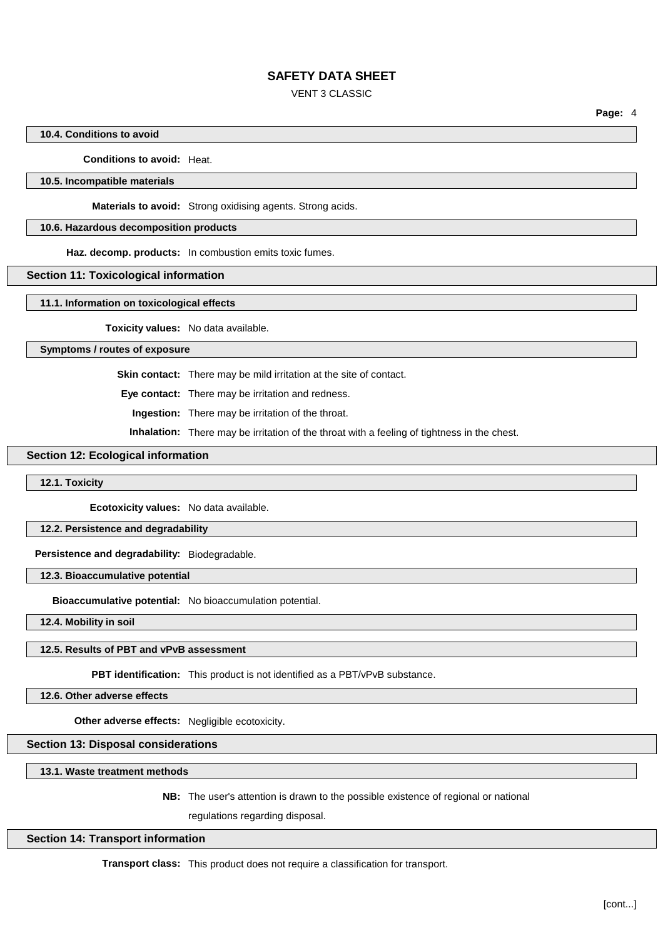### VENT 3 CLASSIC

**Page:** 4

### **10.4. Conditions to avoid**

#### **Conditions to avoid:** Heat.

#### **10.5. Incompatible materials**

**Materials to avoid:** Strong oxidising agents. Strong acids.

#### **10.6. Hazardous decomposition products**

**Haz. decomp. products:** In combustion emits toxic fumes.

#### **Section 11: Toxicological information**

#### **11.1. Information on toxicological effects**

**Toxicity values:** No data available.

#### **Symptoms / routes of exposure**

**Skin contact:** There may be mild irritation at the site of contact.

**Eye contact:** There may be irritation and redness.

**Ingestion:** There may be irritation of the throat.

**Inhalation:** There may be irritation of the throat with a feeling of tightness in the chest.

### **Section 12: Ecological information**

#### **12.1. Toxicity**

**Ecotoxicity values:** No data available.

### **12.2. Persistence and degradability**

**Persistence and degradability:** Biodegradable.

#### **12.3. Bioaccumulative potential**

**Bioaccumulative potential:** No bioaccumulation potential.

**12.4. Mobility in soil**

#### **12.5. Results of PBT and vPvB assessment**

**PBT identification:** This product is not identified as a PBT/vPvB substance.

**12.6. Other adverse effects**

**Other adverse effects:** Negligible ecotoxicity.

## **Section 13: Disposal considerations**

**13.1. Waste treatment methods**

**NB:** The user's attention is drawn to the possible existence of regional or national

regulations regarding disposal.

#### **Section 14: Transport information**

**Transport class:** This product does not require a classification for transport.